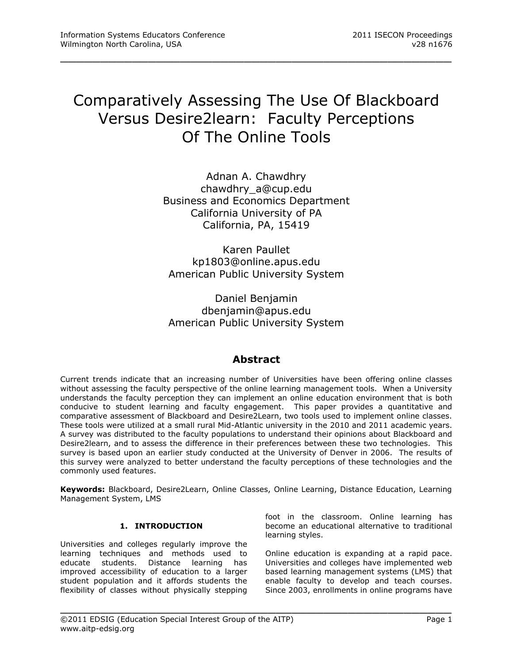# Comparatively Assessing The Use Of Blackboard Versus Desire2learn: Faculty Perceptions Of The Online Tools

\_\_\_\_\_\_\_\_\_\_\_\_\_\_\_\_\_\_\_\_\_\_\_\_\_\_\_\_\_\_\_\_\_\_\_\_\_\_\_\_\_\_\_\_\_\_\_\_\_

Adnan A. Chawdhry chawdhry\_a@cup.edu Business and Economics Department California University of PA California, PA, 15419

Karen Paullet kp1803@online.apus.edu American Public University System

Daniel Benjamin dbenjamin@apus.edu American Public University System

# **Abstract**

Current trends indicate that an increasing number of Universities have been offering online classes without assessing the faculty perspective of the online learning management tools. When a University understands the faculty perception they can implement an online education environment that is both conducive to student learning and faculty engagement. This paper provides a quantitative and comparative assessment of Blackboard and Desire2Learn, two tools used to implement online classes. These tools were utilized at a small rural Mid-Atlantic university in the 2010 and 2011 academic years. A survey was distributed to the faculty populations to understand their opinions about Blackboard and Desire2learn, and to assess the difference in their preferences between these two technologies. This survey is based upon an earlier study conducted at the University of Denver in 2006. The results of this survey were analyzed to better understand the faculty perceptions of these technologies and the commonly used features.

**Keywords:** Blackboard, Desire2Learn, Online Classes, Online Learning, Distance Education, Learning Management System, LMS

\_\_\_\_\_\_\_\_\_\_\_\_\_\_\_\_\_\_\_\_\_\_\_\_\_\_\_\_\_\_\_\_\_\_\_\_\_\_\_\_\_\_\_\_\_\_\_\_\_

# **1. INTRODUCTION**

Universities and colleges regularly improve the learning techniques and methods used to educate students. Distance learning has improved accessibility of education to a larger student population and it affords students the flexibility of classes without physically stepping foot in the classroom. Online learning has become an educational alternative to traditional learning styles.

Online education is expanding at a rapid pace. Universities and colleges have implemented web based learning management systems (LMS) that enable faculty to develop and teach courses. Since 2003, enrollments in online programs have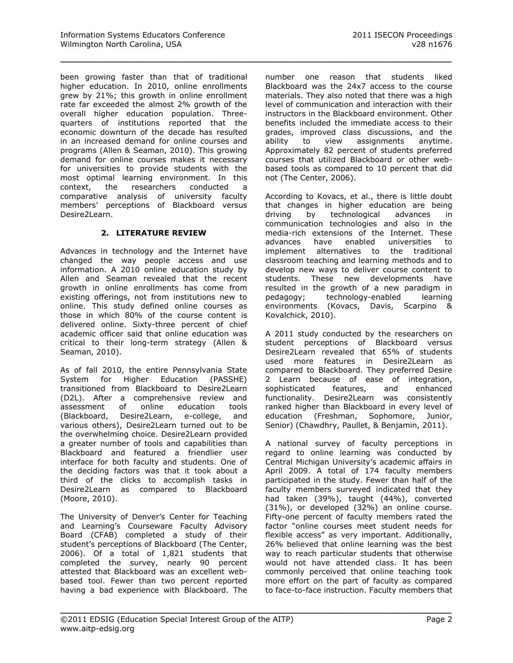\_\_\_\_\_\_\_\_\_\_\_\_\_\_\_\_\_\_\_\_\_\_\_\_\_\_\_\_\_\_\_\_\_\_\_\_\_\_\_\_\_\_\_\_\_\_\_\_\_

been growing faster than that of traditional higher education. In 2010, online enrollments grew by 21%; this growth in online enrollment rate far exceeded the almost 2% growth of the overall higher education population. Threequarters of institutions reported that the economic downturn of the decade has resulted in an increased demand for online courses and programs (Allen & Seaman, 2010). This growing demand for online courses makes it necessary for universities to provide students with the most optimal learning environment. In this context, the researchers conducted a comparative analysis of university faculty members' perceptions of Blackboard versus Desire2Learn.

# **2. LITERATURE REVIEW**

Advances in technology and the Internet have changed the way people access and use information. A 2010 online education study by Allen and Seaman revealed that the recent growth in online enrollments has come from existing offerings, not from institutions new to online. This study defined online courses as those in which 80% of the course content is delivered online. Sixty-three percent of chief academic officer said that online education was critical to their long-term strategy (Allen & Seaman, 2010).

As of fall 2010, the entire Pennsylvania State System for Higher Education (PASSHE) transitioned from Blackboard to Desire2Learn (D2L). After a comprehensive review and assessment of online education tools (Blackboard, Desire2Learn, e-college, and various others), Desire2Learn turned out to be the overwhelming choice. Desire2Learn provided a greater number of tools and capabilities than Blackboard and featured a friendlier user interface for both faculty and students. One of the deciding factors was that it took about a third of the clicks to accomplish tasks in Desire2Learn as compared to Blackboard (Moore, 2010).

The University of Denver's Center for Teaching and Learning's Courseware Faculty Advisory Board (CFAB) completed a study of their student's perceptions of Blackboard (The Center, 2006). Of a total of 1,821 students that completed the survey, nearly 90 percent attested that Blackboard was an excellent webbased tool. Fewer than two percent reported having a bad experience with Blackboard. The

number one reason that students liked Blackboard was the 24x7 access to the course materials. They also noted that there was a high level of communication and interaction with their instructors in the Blackboard environment. Other benefits included the immediate access to their grades, improved class discussions, and the ability to view assignments anytime. Approximately 82 percent of students preferred courses that utilized Blackboard or other webbased tools as compared to 10 percent that did not (The Center, 2006).

According to Kovacs, et al., there is little doubt that changes in higher education are being driving by technological advances in communication technologies and also in the media-rich extensions of the Internet. These advances have enabled universities to implement alternatives to the traditional classroom teaching and learning methods and to develop new ways to deliver course content to students. These new developments have resulted in the growth of a new paradigm in pedagogy; technology-enabled learning environments (Kovacs, Davis, Scarpino & Kovalchick, 2010).

A 2011 study conducted by the researchers on student perceptions of Blackboard versus Desire2Learn revealed that 65% of students used more features in Desire2Learn as compared to Blackboard. They preferred Desire 2 Learn because of ease of integration, sophisticated features, and enhanced functionality. Desire2Learn was consistently ranked higher than Blackboard in every level of education (Freshman, Sophomore, Junior, Senior) (Chawdhry, Paullet, & Benjamin, 2011).

A national survey of faculty perceptions in regard to online learning was conducted by Central Michigan University's academic affairs in April 2009. A total of 174 faculty members participated in the study. Fewer than half of the faculty members surveyed indicated that they had taken (39%), taught (44%), converted (31%), or developed (32%) an online course. Fifty-one percent of faculty members rated the factor "online courses meet student needs for flexible access" as very important. Additionally, 26% believed that online learning was the best way to reach particular students that otherwise would not have attended class. It has been commonly perceived that online teaching took more effort on the part of faculty as compared to face-to-face instruction. Faculty members that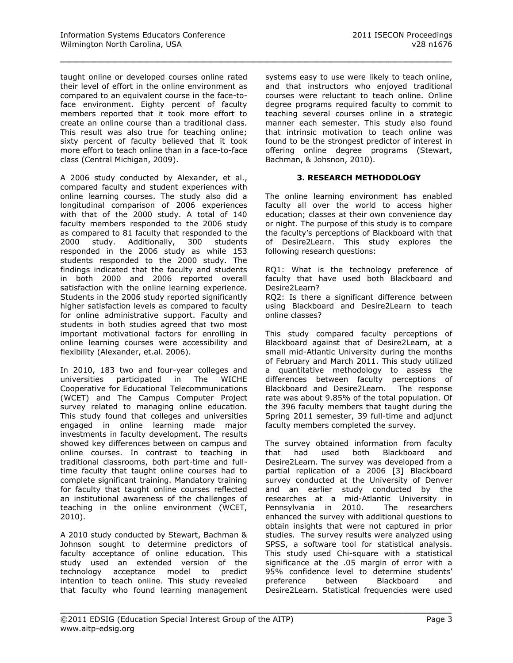taught online or developed courses online rated their level of effort in the online environment as compared to an equivalent course in the face-toface environment. Eighty percent of faculty members reported that it took more effort to create an online course than a traditional class. This result was also true for teaching online; sixty percent of faculty believed that it took more effort to teach online than in a face-to-face class (Central Michigan, 2009).

\_\_\_\_\_\_\_\_\_\_\_\_\_\_\_\_\_\_\_\_\_\_\_\_\_\_\_\_\_\_\_\_\_\_\_\_\_\_\_\_\_\_\_\_\_\_\_\_\_

A 2006 study conducted by Alexander, et al., compared faculty and student experiences with online learning courses. The study also did a longitudinal comparison of 2006 experiences with that of the 2000 study. A total of 140 faculty members responded to the 2006 study as compared to 81 faculty that responded to the 2000 study. Additionally, 300 students responded in the 2006 study as while 153 students responded to the 2000 study. The findings indicated that the faculty and students in both 2000 and 2006 reported overall satisfaction with the online learning experience. Students in the 2006 study reported significantly higher satisfaction levels as compared to faculty for online administrative support. Faculty and students in both studies agreed that two most important motivational factors for enrolling in online learning courses were accessibility and flexibility (Alexander, et.al. 2006).

In 2010, 183 two and four-year colleges and universities participated in The WICHE Cooperative for Educational Telecommunications (WCET) and The Campus Computer Project survey related to managing online education. This study found that colleges and universities engaged in online learning made major investments in faculty development. The results showed key differences between on campus and online courses. In contrast to teaching in traditional classrooms, both part-time and fulltime faculty that taught online courses had to complete significant training. Mandatory training for faculty that taught online courses reflected an institutional awareness of the challenges of teaching in the online environment (WCET, 2010).

A 2010 study conducted by Stewart, Bachman & Johnson sought to determine predictors of faculty acceptance of online education. This study used an extended version of the technology acceptance model to predict intention to teach online. This study revealed that faculty who found learning management systems easy to use were likely to teach online, and that instructors who enjoyed traditional courses were reluctant to teach online. Online degree programs required faculty to commit to teaching several courses online in a strategic manner each semester. This study also found that intrinsic motivation to teach online was found to be the strongest predictor of interest in offering online degree programs (Stewart, Bachman, & Johsnon, 2010).

# **3. RESEARCH METHODOLOGY**

The online learning environment has enabled faculty all over the world to access higher education; classes at their own convenience day or night. The purpose of this study is to compare the faculty's perceptions of Blackboard with that of Desire2Learn. This study explores the following research questions:

RQ1: What is the technology preference of faculty that have used both Blackboard and Desire2Learn?

RQ2: Is there a significant difference between using Blackboard and Desire2Learn to teach online classes?

This study compared faculty perceptions of Blackboard against that of Desire2Learn, at a small mid-Atlantic University during the months of February and March 2011. This study utilized a quantitative methodology to assess the differences between faculty perceptions of Blackboard and Desire2Learn. The response rate was about 9.85% of the total population. Of the 396 faculty members that taught during the Spring 2011 semester, 39 full-time and adjunct faculty members completed the survey.

The survey obtained information from faculty that had used both Blackboard and Desire2Learn. The survey was developed from a partial replication of a 2006 [3] Blackboard survey conducted at the University of Denver and an earlier study conducted by the researches at a mid-Atlantic University in<br>Pennsylvania in 2010. The researchers Pennsylvania in 2010. enhanced the survey with additional questions to obtain insights that were not captured in prior studies. The survey results were analyzed using SPSS, a software tool for statistical analysis. This study used Chi-square with a statistical significance at the .05 margin of error with a 95% confidence level to determine students' preference between Blackboard and Desire2Learn. Statistical frequencies were used

\_\_\_\_\_\_\_\_\_\_\_\_\_\_\_\_\_\_\_\_\_\_\_\_\_\_\_\_\_\_\_\_\_\_\_\_\_\_\_\_\_\_\_\_\_\_\_\_\_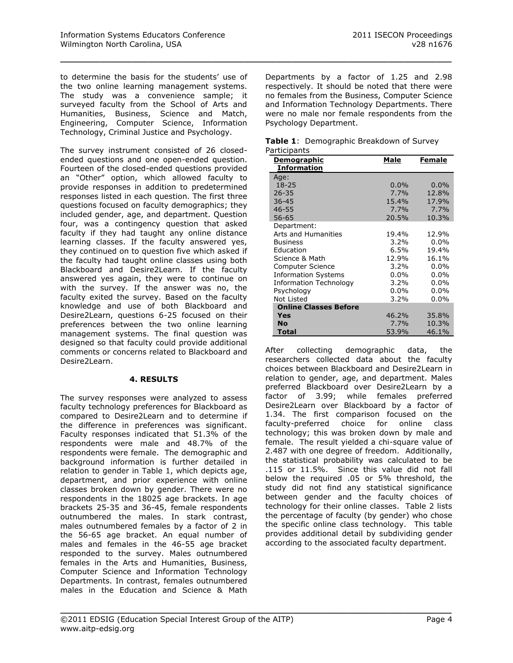to determine the basis for the students' use of the two online learning management systems. The study was a convenience sample; it surveyed faculty from the School of Arts and Humanities, Business, Science and Match, Engineering, Computer Science, Information Technology, Criminal Justice and Psychology.

\_\_\_\_\_\_\_\_\_\_\_\_\_\_\_\_\_\_\_\_\_\_\_\_\_\_\_\_\_\_\_\_\_\_\_\_\_\_\_\_\_\_\_\_\_\_\_\_\_

The survey instrument consisted of 26 closedended questions and one open-ended question. Fourteen of the closed-ended questions provided an "Other" option, which allowed faculty to provide responses in addition to predetermined responses listed in each question. The first three questions focused on faculty demographics; they included gender, age, and department. Question four, was a contingency question that asked faculty if they had taught any online distance learning classes. If the faculty answered yes, they continued on to question five which asked if the faculty had taught online classes using both Blackboard and Desire2Learn. If the faculty answered yes again, they were to continue on with the survey. If the answer was no, the faculty exited the survey. Based on the faculty knowledge and use of both Blackboard and Desire2Learn, questions 6-25 focused on their preferences between the two online learning management systems. The final question was designed so that faculty could provide additional comments or concerns related to Blackboard and Desire2Learn.

#### **4. RESULTS**

The survey responses were analyzed to assess faculty technology preferences for Blackboard as compared to Desire2Learn and to determine if the difference in preferences was significant. Faculty responses indicated that 51.3% of the respondents were male and 48.7% of the respondents were female. The demographic and background information is further detailed in relation to gender in Table 1, which depicts age, department, and prior experience with online classes broken down by gender. There were no respondents in the 18025 age brackets. In age brackets 25-35 and 36-45, female respondents outnumbered the males. In stark contrast, males outnumbered females by a factor of 2 in the 56-65 age bracket. An equal number of males and females in the 46-55 age bracket responded to the survey. Males outnumbered females in the Arts and Humanities, Business, Computer Science and Information Technology Departments. In contrast, females outnumbered males in the Education and Science & Math

Departments by a factor of 1.25 and 2.98 respectively. It should be noted that there were no females from the Business, Computer Science and Information Technology Departments. There were no male nor female respondents from the Psychology Department.

|              | Table 1: Demographic Breakdown of Survey |  |
|--------------|------------------------------------------|--|
| Participants |                                          |  |

| <u>Demographic</u><br><b>Information</b> | Male    | Female  |
|------------------------------------------|---------|---------|
| Age:                                     |         |         |
| $18 - 25$                                | $0.0\%$ | $0.0\%$ |
| $26 - 35$                                | 7.7%    | 12.8%   |
| $36 - 45$                                | 15.4%   | 17.9%   |
| $46 - 55$                                | 7.7%    | 7.7%    |
| $56 - 65$                                | 20.5%   | 10.3%   |
| Department:                              |         |         |
| Arts and Humanities                      | 19.4%   | 12.9%   |
| <b>Business</b>                          | 3.2%    | 0.0%    |
| Education                                | 6.5%    | 19.4%   |
| Science & Math                           | 12.9%   | 16.1%   |
| Computer Science                         | 3.2%    | $0.0\%$ |
| <b>Information Systems</b>               | $0.0\%$ | $0.0\%$ |
| <b>Information Technology</b>            | 3.2%    | $0.0\%$ |
| Psychology                               | $0.0\%$ | $0.0\%$ |
| Not Listed                               | 3.2%    | $0.0\%$ |
| <b>Online Classes Before</b>             |         |         |
| Yes                                      | 46.2%   | 35.8%   |
| <b>No</b>                                | 7.7%    | 10.3%   |
| <b>Total</b>                             | 53.9%   | 46.1%   |

After collecting demographic data, the researchers collected data about the faculty choices between Blackboard and Desire2Learn in relation to gender, age, and department. Males preferred Blackboard over Desire2Learn by a factor of 3.99; while females preferred Desire2Learn over Blackboard by a factor of 1.34. The first comparison focused on the faculty-preferred choice for online class technology; this was broken down by male and female. The result yielded a chi-square value of 2.487 with one degree of freedom. Additionally, the statistical probability was calculated to be .115 or 11.5%. Since this value did not fall below the required .05 or 5% threshold, the study did not find any statistical significance between gender and the faculty choices of technology for their online classes. Table 2 lists the percentage of faculty (by gender) who chose the specific online class technology. This table provides additional detail by subdividing gender according to the associated faculty department.

\_\_\_\_\_\_\_\_\_\_\_\_\_\_\_\_\_\_\_\_\_\_\_\_\_\_\_\_\_\_\_\_\_\_\_\_\_\_\_\_\_\_\_\_\_\_\_\_\_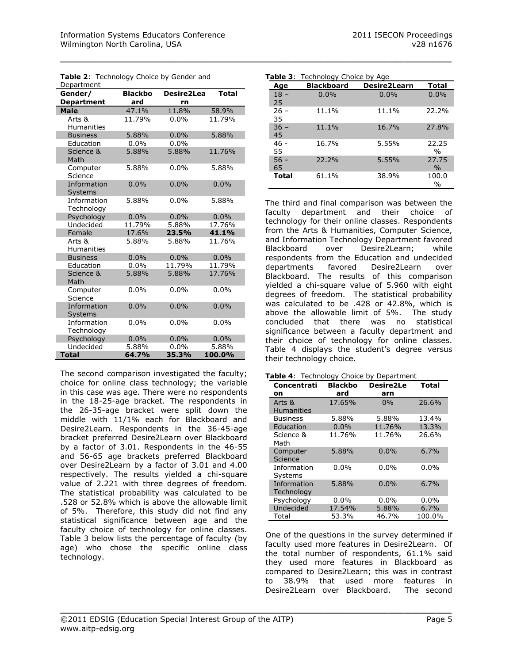| Department                    |                |            |              |
|-------------------------------|----------------|------------|--------------|
| Gender/                       | <b>Blackbo</b> | Desire2Lea | <b>Total</b> |
| <b>Department</b>             | ard            | rn         |              |
| <b>Male</b>                   | 47.1%          | 11.8%      | 58.9%        |
| Arts &                        | 11.79%         | $0.0\%$    | 11.79%       |
| <b>Humanities</b>             |                |            |              |
| <b>Business</b>               | 5.88%          | 0.0%       | 5.88%        |
| Education                     | 0.0%           | $0.0\%$    |              |
| Science &<br>Math             | 5.88%          | 5.88%      | 11.76%       |
| Computer<br>Science           | 5.88%          | 0.0%       | 5.88%        |
| Information<br><b>Systems</b> | 0.0%           | 0.0%       | 0.0%         |
| Information<br>Technology     | 5.88%          | $0.0\%$    | 5.88%        |
| Psychology                    | 0.0%           | 0.0%       | 0.0%         |
| Undecided                     | 11.79%         | 5.88%      | 17.76%       |
| Female                        | 17.6%          | 23.5%      | 41.1%        |
| Arts &<br><b>Humanities</b>   | 5.88%          | 5.88%      | 11.76%       |
| <b>Business</b>               | 0.0%           | 0.0%       | 0.0%         |
| Education                     | $0.0\%$        | 11.79%     | 11.79%       |
| Science &<br>Math             | 5.88%          | 5.88%      | 17.76%       |
| Computer<br>Science           | 0.0%           | $0.0\%$    | $0.0\%$      |
| Information<br><b>Systems</b> | 0.0%           | 0.0%       | 0.0%         |
| Information<br>Technology     | $0.0\%$        | 0.0%       | $0.0\%$      |
| Psychology                    | 0.0%           | 0.0%       | 0.0%         |
| Undecided                     | 5.88%          | 0.0%       | 5.88%        |
| <b>Total</b>                  | 64.7%          | 35.3%      | 100.0%       |

|            | Table 2: Technology Choice by Gender and |  |  |
|------------|------------------------------------------|--|--|
| Denartment |                                          |  |  |

The second comparison investigated the faculty; choice for online class technology; the variable in this case was age. There were no respondents in the 18-25-age bracket. The respondents in the 26-35-age bracket were split down the middle with 11/1% each for Blackboard and Desire2Learn. Respondents in the 36-45-age bracket preferred Desire2Learn over Blackboard by a factor of 3.01. Respondents in the 46-55 and 56-65 age brackets preferred Blackboard over Desire2Learn by a factor of 3.01 and 4.00 respectively. The results yielded a chi-square value of 2.221 with three degrees of freedom. The statistical probability was calculated to be .528 or 52.8% which is above the allowable limit of 5%. Therefore, this study did not find any statistical significance between age and the faculty choice of technology for online classes. Table 3 below lists the percentage of faculty (by age) who chose the specific online class technology.

| Table 3: Technology Choice by Age |  |  |  |
|-----------------------------------|--|--|--|
|                                   |  |  |  |

\_\_\_\_\_\_\_\_\_\_\_\_\_\_\_\_\_\_\_\_\_\_\_\_\_\_\_\_\_\_\_\_\_\_\_\_\_\_\_\_\_\_\_\_\_\_\_\_\_

| Age          | <b>Blackboard</b> | <b>Desire2Learn</b> | <b>Total</b>           |
|--------------|-------------------|---------------------|------------------------|
| $18 -$<br>25 | 0.0%              | 0.0%                | 0.0%                   |
| $26 -$<br>35 | 11.1%             | 11.1%               | 22.2%                  |
| $36 -$<br>45 | 11.1%             | 16.7%               | 27.8%                  |
| $46 -$<br>55 | 16.7%             | 5.55%               | 22.25<br>$\frac{0}{0}$ |
| $56 -$<br>65 | 22.2%             | 5.55%               | 27.75<br>$\frac{0}{0}$ |
| <b>Total</b> | 61.1%             | 38.9%               | 100.0<br>$\frac{0}{0}$ |

The third and final comparison was between the faculty department and their choice of technology for their online classes. Respondents from the Arts & Humanities, Computer Science, and Information Technology Department favored Blackboard over Desire2Learn; while respondents from the Education and undecided departments favored Desire2Learn over Blackboard. The results of this comparison yielded a chi-square value of 5.960 with eight degrees of freedom. The statistical probability was calculated to be .428 or 42.8%, which is above the allowable limit of 5%. The study concluded that there was no statistical significance between a faculty department and their choice of technology for online classes. Table 4 displays the student's degree versus their technology choice.

| Table 4: Technology Choice by Department |  |
|------------------------------------------|--|
|                                          |  |

| Concentrati       | <b>Blackbo</b> | <b>Desire2Le</b> | <b>Total</b> |
|-------------------|----------------|------------------|--------------|
| on                | ard            | arn              |              |
| Arts &            | 17.65%         | $0\%$            | 26.6%        |
| <b>Humanities</b> |                |                  |              |
| <b>Business</b>   | 5.88%          | 5.88%            | 13.4%        |
| Education         | 0.0%           | 11.76%           | 13.3%        |
| Science &         | 11.76%         | 11.76%           | 26.6%        |
| Math              |                |                  |              |
| Computer          | 5.88%          | 0.0%             | 6.7%         |
| Science           |                |                  |              |
| Information       | $0.0\%$        | $0.0\%$          | $0.0\%$      |
| Systems           |                |                  |              |
| Information       | 5.88%          | $0.0\%$          | 6.7%         |
| Technology        |                |                  |              |
| Psychology        | $0.0\%$        | $0.0\%$          | $0.0\%$      |
| Undecided         | 17.54%         | 5.88%            | 6.7%         |
| Total             | 53.3%          | 46.7%            | 100.0%       |

One of the questions in the survey determined if faculty used more features in Desire2Learn. Of the total number of respondents, 61.1% said they used more features in Blackboard as compared to Desire2Learn; this was in contrast to 38.9% that used more features in Desire2Learn over Blackboard. The second

\_\_\_\_\_\_\_\_\_\_\_\_\_\_\_\_\_\_\_\_\_\_\_\_\_\_\_\_\_\_\_\_\_\_\_\_\_\_\_\_\_\_\_\_\_\_\_\_\_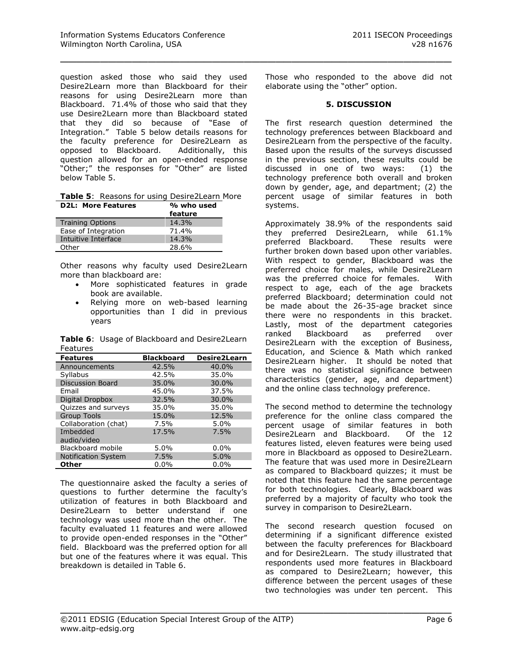question asked those who said they used Desire2Learn more than Blackboard for their reasons for using Desire2Learn more than Blackboard. 71.4% of those who said that they use Desire2Learn more than Blackboard stated that they did so because of "Ease of Integration." Table 5 below details reasons for the faculty preference for Desire2Learn as opposed to Blackboard. Additionally, this question allowed for an open-ended response "Other;" the responses for "Other" are listed below Table 5.

|                           | Table 5: Reasons for using Desire2Learn More |  |
|---------------------------|----------------------------------------------|--|
| <b>D2L: More Features</b> | % who used                                   |  |

|                         | feature |
|-------------------------|---------|
| <b>Training Options</b> | 14.3%   |
| Ease of Integration     | 71.4%   |
| Intuitive Interface     | 14.3%   |
| Other                   | 28.6%   |

Other reasons why faculty used Desire2Learn more than blackboard are:

- More sophisticated features in grade book are available.
- Relying more on web-based learning opportunities than I did in previous years

**Table 6**: Usage of Blackboard and Desire2Learn Features

| <b>Features</b>            | <b>Blackboard</b> | <b>Desire2Learn</b> |
|----------------------------|-------------------|---------------------|
| Announcements              | 42.5%             | 40.0%               |
| Syllabus                   | 42.5%             | 35.0%               |
| <b>Discussion Board</b>    | 35.0%             | 30.0%               |
| Email                      | 45.0%             | 37.5%               |
| Digital Dropbox            | 32.5%             | 30.0%               |
| Quizzes and surveys        | 35.0%             | 35.0%               |
| <b>Group Tools</b>         | 15.0%             | 12.5%               |
| Collaboration (chat)       | 7.5%              | 5.0%                |
| Imbedded                   | 17.5%             | 7.5%                |
| audio/video                |                   |                     |
| Blackboard mobile          | 5.0%              | 0.0%                |
| <b>Notification System</b> | 7.5%              | 5.0%                |
| Other                      | $0.0\%$           | $0.0\%$             |

The questionnaire asked the faculty a series of questions to further determine the faculty's utilization of features in both Blackboard and Desire2Learn to better understand if one technology was used more than the other. The faculty evaluated 11 features and were allowed to provide open-ended responses in the "Other" field. Blackboard was the preferred option for all but one of the features where it was equal. This breakdown is detailed in Table 6.

Those who responded to the above did not elaborate using the "other" option.

\_\_\_\_\_\_\_\_\_\_\_\_\_\_\_\_\_\_\_\_\_\_\_\_\_\_\_\_\_\_\_\_\_\_\_\_\_\_\_\_\_\_\_\_\_\_\_\_\_

#### **5. DISCUSSION**

The first research question determined the technology preferences between Blackboard and Desire2Learn from the perspective of the faculty. Based upon the results of the surveys discussed in the previous section, these results could be discussed in one of two ways: (1) the technology preference both overall and broken down by gender, age, and department; (2) the percent usage of similar features in both systems.

Approximately 38.9% of the respondents said they preferred Desire2Learn, while 61.1% preferred Blackboard. These results were further broken down based upon other variables. With respect to gender, Blackboard was the preferred choice for males, while Desire2Learn was the preferred choice for females. With respect to age, each of the age brackets preferred Blackboard; determination could not be made about the 26-35-age bracket since there were no respondents in this bracket. Lastly, most of the department categories ranked Blackboard as preferred over Desire2Learn with the exception of Business, Education, and Science & Math which ranked Desire2Learn higher. It should be noted that there was no statistical significance between characteristics (gender, age, and department) and the online class technology preference.

The second method to determine the technology preference for the online class compared the percent usage of similar features in both Desire2Learn and Blackboard. Of the 12 features listed, eleven features were being used more in Blackboard as opposed to Desire2Learn. The feature that was used more in Desire2Learn as compared to Blackboard quizzes; it must be noted that this feature had the same percentage for both technologies. Clearly, Blackboard was preferred by a majority of faculty who took the survey in comparison to Desire2Learn.

The second research question focused on determining if a significant difference existed between the faculty preferences for Blackboard and for Desire2Learn. The study illustrated that respondents used more features in Blackboard as compared to Desire2Learn; however, this difference between the percent usages of these two technologies was under ten percent. This